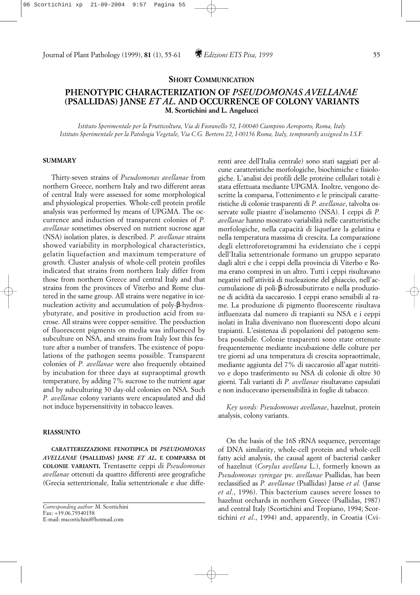## Journal of Plant Pathology (1999), **81** (1), 55-61 *Edizioni ETS Pisa, 1999* 55

### **SHORT COMMUNICATION**

# **PHENOTYPIC CHARACTERIZATION OF** *PSEUDOMONAS AVELLANAE* **(PSALLIDAS) JANSE** *ET AL***. AND OCCURRENCE OF COLONY VARIANTS M. Scortichini and L. Angelucci**

*Istituto Sperimentale per la Frutticoltura, Via di Fioranello 52, I-00040 Ciampino Aeroporto, Roma, Italy Istituto Sperimentale per la Patologia Vegetale, Via C.G. Bertero 22, I-00156 Roma, Italy, temporarily assigned to I.S.F.*

### **SUMMARY**

Thirty-seven strains of *Pseudomonas avellanae* from northern Greece, northern Italy and two different areas of central Italy were assessed for some morphological and physiological properties. Whole-cell protein profile analysis was performed by means of UPGMA. The occurrence and induction of transparent colonies of *P. avellanae* sometimes observed on nutrient sucrose agar (NSA) isolation plates, is described. *P. avellanae* strains showed variability in morphological characteristics, gelatin liquefaction and maximum temperature of growth. Cluster analysis of whole-cell protein profiles indicated that strains from northern Italy differ from those from northern Greece and central Italy and that strains from the provinces of Viterbo and Rome clustered in the same group. All strains were negative in icenucleation activity and accumulation of poly-β-hydroxybutyrate, and positive in production acid from sucrose. All strains were copper-sensitive. The production of fluorescent pigments on media was influenced by subculture on NSA, and strains from Italy lost this feature after a number of transfers. The existence of populations of the pathogen seems possible. Transparent colonies of *P. avellanae* were also frequently obtained by incubation for three days at supraoptimal growth temperature, by adding 7% sucrose to the nutrient agar and by subculturing 30 day-old colonies on NSA. Such *P. avellanae* colony variants were encapsulated and did not induce hypersensitivity in tobacco leaves.

#### **RIASSUNTO**

**CARATTERIZZAZIONE FENOTIPICA DI** *PSEUDOMONAS AVELLANAE* **(PSALLIDAS) JANSE** *ET AL.* **E COMPARSA DI COLONIE VARIANTI.** Trentasette ceppi di *Pseudomonas avellanae* ottenuti da quattro differenti aree geografiche (Grecia settentrionale, Italia settentrionale e due diffe-

*Corresponding author:* M. Scortichini Fax: +39.06.79340158 E-mail: mscortichini@hotmail.com

renti aree dell'Italia centrale) sono stati saggiati per alcune caratteristiche morfologiche, biochimiche e fisiologiche. L'analisi dei profili delle proteine cellulari totali è stata effettuata mediante UPGMA. Inoltre, vengono descritte la comparsa, l'ottenimento e le principali caratteristiche di colonie trasparenti di *P. avellanae*, talvolta osservate sulle piastre d'isolamento (NSA). I ceppi di *P. avellanae* hanno mostrato variabilità nelle caratteristiche morfologiche, nella capacità di liquefare la gelatina e nella temperatura massima di crescita. La comparazione degli elettroforetogrammi ha evidenziato che i ceppi dell'Italia settentrionale formano un gruppo separato dagli altri e che i ceppi della provincia di Viterbo e Roma erano compresi in un altro. Tutti i ceppi risultavano negativi nell'attività di nucleazione del ghiaccio, nell'accumulazione di poli-β-idrossibutirrato e nella produzione di acidità da saccarosio. I ceppi erano sensibili al rame. La produzione di pigmento fluorescente risultava influenzata dal numero di trapianti su NSA e i ceppi isolati in Italia divenivano non fluorescenti dopo alcuni trapianti. L'esistenza di popolazioni del patogeno sembra possibile. Colonie trasparenti sono state ottenute frequentemente mediante incubazione delle colture per tre giorni ad una temperatura di crescita sopraottimale, mediante aggiunta del 7% di saccarosio all'agar nutritivo e dopo trasferimento su NSA di colonie di oltre 30 giorni. Tali varianti di *P. avellanae* risultavano capsulati e non inducevano ipersensibilità in foglie di tabacco.

*Key words: Pseudomonas avellanae*, hazelnut, protein analysis, colony variants.

On the basis of the 16S rRNA sequence, percentage of DNA similarity, whole-cell protein and whole-cell fatty acid analysis, the causal agent of bacterial canker of hazelnut (*Corylus avellana* L.), formerly known as *Pseudomonas syringae* pv. *avellanae* Psallidas, has been reclassified as *P. avellanae* (Psallidas) Janse *et al.* (Janse *et al*., 1996). This bacterium causes severe losses to hazelnut orchards in northern Greece (Psallidas, 1987) and central Italy (Scortichini and Tropiano, 1994; Scortichini *et al*., 1994) and, apparently, in Croatia (Cvi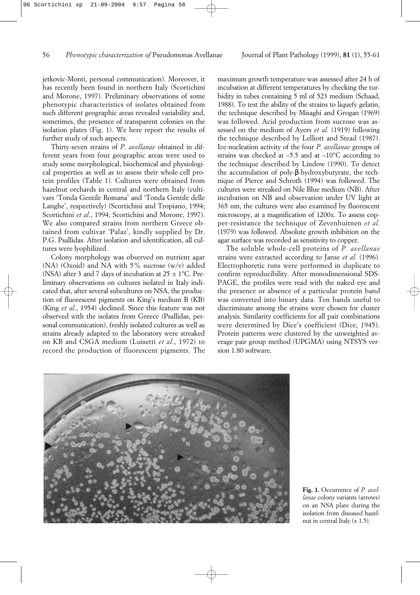jetkovic-Monti, personal communication). Moreover, it has recently been found in northern Italy (Scortichini and Morone, 1997). Preliminary observations of some phenotypic characteristics of isolates obtained from such different geographic areas revealed variability and, sometimes, the presence of transparent colonies on the isolation plates (Fig. 1). We here report the results of further study of such aspects.

Thirty-seven strains of *P. avellanae* obtained in different years from four geographic areas were used to study some morphological, biochemical and physiological properties as well as to assess their whole-cell protein profiles (Table 1). Cultures were obtained from hazelnut orchards in central and northern Italy (cultivars 'Tonda Gentile Romana' and 'Tonda Gentile delle Langhe', respectively) (Scortichini and Tropiano, 1994; Scortichini *et al*., 1994; Scortichini and Morone, 1997). We also compared strains from northern Greece obtained from cultivar 'Palaz', kindly supplied by Dr. P.G. Psallidas. After isolation and identification, all cultures were lyophilized.

Colony morphology was observed on nutrient agar (NA) (Oxoid) and NA with 5% sucrose (w/v) added (NSA) after 3 and 7 days of incubation at  $25 \pm 1^{\circ}$ C. Preliminary observations on cultures isolated in Italy indicated that, after several subcultures on NSA, the production of fluorescent pigments on King's medium B (KB) (King *et al*., 1954) declined. Since this feature was not observed with the isolates from Greece (Psallidas, personal communication), freshly isolated cultures as well as strains already adapted to the laboratory were streaked on KB and CSGA medium (Luisetti *et al*., 1972) to record the production of fluorescent pigments. The

maximum growth temperature was assessed after 24 h of incubation at different temperatures by checking the turbidity in tubes containing 5 ml of 523 medium (Schaad, 1988). To test the ability of the strains to liquefy gelatin, the technique described by Misaghi and Grogan (1969) was followed. Acid production from sucrose was assessed on the medium of Ayers *et al.* (1919) following the technique described by Lelliott and Stead (1987). Ice-nucleation activity of the four *P. avellanae* groups of strains was checked at  $-5.5$  and at  $-10^{\circ}$ C according to the technique described by Lindow (1990). To detect the accumulation of poly-β-hydroxybutyrate, the technique of Pierce and Schroth (1994) was followed. The cultures were streaked on Nile Blue medium (NB). After incubation on NB and observation under UV light at 365 nm, the cultures were also examined by fluorescent microscopy, at a magnification of 1200x. To assess copper-resistance the technique of Zevenhuitnen *et al.* (1979) was followed. Absolute growth inhibition on the agar surface was recorded as sensitivity to copper.

The soluble whole-cell proteins of *P. avellanae* strains were extracted according to Janse *et al.* (1996). Electrophoretic runs were performed in duplicate to confirm reproducibility. After monodimensional SDS-PAGE, the profiles were read with the naked eye and the presence or absence of a particular protein band was converted into binary data. Ten bands useful to discriminate among the strains were chosen for cluster analysis. Similarity coefficients for all pair combinations were determined by Dice's coefficient (Dice, 1945). Protein patterns were clustered by the unweighted average pair group method (UPGMA) using NTSYS version 1.80 software.



**Fig. 1.** Occurrence of *P. avellanae* colony variants (arrows) on an NSA plate during the isolation from diseased hazelnut in central Italy (x 1.5).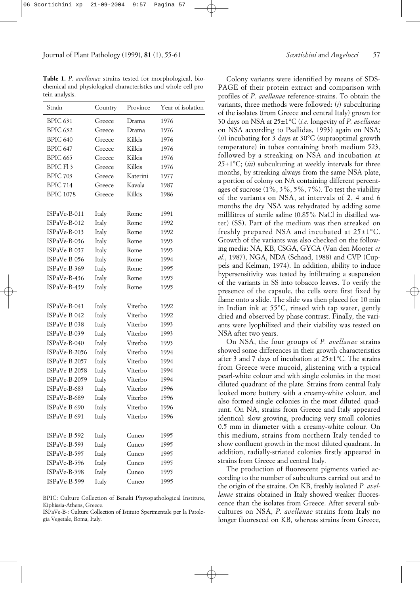Journal of Plant Pathology (1999), **81** (1), 55-61 *Scortichini* and *Angelucci* 57

**Table 1.** *P. avellanae* strains tested for morphological, biochemical and physiological characteristics and whole-cell protein analysis.

| Strain               | Country | Province | Year of isolation |
|----------------------|---------|----------|-------------------|
| BPIC 631             | Greece  | Drama    | 1976              |
| <b>BPIC 632</b>      | Greece  | Drama    | 1976              |
| BPIC 640             | Greece  | Kilkis   | 1976              |
| BPIC 647             | Greece  | Kilkis   | 1976              |
| <b>BPIC 665</b>      | Greece  | Kilkis   | 1976              |
| BPIC Fl <sub>3</sub> | Greece  | Kilkis   | 1976              |
| <b>BPIC 703</b>      | Greece  | Katerini | 1977              |
| <b>BPIC 714</b>      | Greece  | Kavala   | 1987              |
| <b>BPIC 1078</b>     | Greece  | Kilkis   | 1986              |
|                      |         |          |                   |
| ISPaVe-B-011         | Italy   | Rome     | 1991              |
| ISPaVe-B-012         | Italy   | Rome     | 1992              |
| ISPaVe-B-013         | Italy   | Rome     | 1992              |
| ISPaVe-B-036         | Italy   | Rome     | 1993              |
| ISPaVe-B-037         | Italy   | Rome     | 1993              |
| ISPaVe-B-056         | Italy   | Rome     | 1994              |
| ISPaVe-B-369         | Italy   | Rome     | 1995              |
| ISPaVe-B-436         | Italy   | Rome     | 1995              |
| ISPaVe-B-439         | Italy   | Rome     | 1995              |
|                      |         |          |                   |
| ISPaVe-B-041         | Italy   | Viterbo  | 1992              |
| ISPaVe-B-042         | Italy   | Viterbo  | 1992              |
| ISPaVe-B-038         | Italy   | Viterbo  | 1993              |
| ISPaVe-B-039         | Italy   | Viterbo  | 1993              |
| ISPaVe-B-040         | Italy   | Viterbo  | 1993              |
| ISPaVe-B-2056        | Italy   | Viterbo  | 1994              |
| ISPaVe-B-2057        | Italy   | Viterbo  | 1994              |
| ISPaVe-B-2058        | Italy   | Viterbo  | 1994              |
| ISPaVe-B-2059        | Italy   | Viterbo  | 1994              |
| ISPaVe-B-683         | Italy   | Viterbo  | 1996              |
| ISPaVe-B-689         | Italy   | Viterbo  | 1996              |
| ISPaVe-B-690         | Italy   | Viterbo  | 1996              |
| ISPaVe-B-691         | Italy   | Viterbo  | 1996              |
|                      |         |          |                   |
| ISPaVe-B-592         | Italy   | Cuneo    | 1995              |
| ISPaVe-B-593         | Italy   | Cuneo    | 1995              |
| ISPaVe-B-595         | Italy   | Cuneo    | 1995              |
| ISPaVe-B-596         | Italy   | Cuneo    | 1995              |
| ISPaVe-B-598         | Italy   | Cuneo    | 1995              |
| ISPaVe-B-599         | Italy   | Cuneo    | 1995              |

BPIC: Culture Collection of Benaki Phytopathological Institute, Kiphissia-Athens, Greece.

ISPaVe-B-: Culture Collection of Istituto Sperimentale per la Patologia Vegetale, Roma, Italy.

Colony variants were identified by means of SDS-PAGE of their protein extract and comparison with profiles of *P. avellanae* reference-strains. To obtain the variants, three methods were followed: (*i*) subculturing of the isolates (from Greece and central Italy) grown for 30 days on NSA at 25±1°C (*i.e.* longevity of *P. avellanae* on NSA according to Psallidas, 1993) again on NSA; (*ii*) incubating for 3 days at 30°C (supraoptimal growth temperature) in tubes containing broth medium 523, followed by a streaking on NSA and incubation at 25±1°C; (*iii*) subculturing at weekly intervals for three months, by streaking always from the same NSA plate, a portion of colony on NA containing different percentages of sucrose  $(1\%, 3\%, 5\%, 7\%)$ . To test the viability of the variants on NSA, at intervals of 2, 4 and 6 months the dry NSA was rehydrated by adding some millilitres of sterile saline (0.85% NaCl in distilled water) (SS). Part of the medium was then streaked on freshly prepared NSA and incubated at  $25\pm1^{\circ}$ C. Growth of the variants was also checked on the following media: NA, KB, CSGA, GYCA (Van den Mooter *et al*., 1987), NGA, NDA (Schaad, 1988) and CVP (Cuppels and Kelman, 1974). In addition, ability to induce hypersensitivity was tested by infiltrating a suspension of the variants in SS into tobacco leaves. To verify the presence of the capsule, the cells were first fixed by flame onto a slide. The slide was then placed for 10 min in Indian ink at 55°C, rinsed with tap water, gently dried and observed by phase contrast. Finally, the variants were lyophilized and their viability was tested on NSA after two years.

On NSA, the four groups of *P. avellanae* strains showed some differences in their growth characteristics after 3 and 7 days of incubation at  $25\pm1^{\circ}$ C. The strains from Greece were mucoid, glistening with a typical pearl-white colour and with single colonies in the most diluted quadrant of the plate. Strains from central Italy looked more buttery with a creamy-white colour, and also formed single colonies in the most diluted quadrant. On NA, strains from Greece and Italy appeared identical: slow growing, producing very small colonies 0.5 mm in diameter with a creamy-white colour. On this medium, strains from northern Italy tended to show confluent growth in the most diluted quadrant. In addition, radially-striated colonies firstly appeared in strains from Greece and central Italy.

The production of fluorescent pigments varied according to the number of subcultures carried out and to the origin of the strains. On KB, freshly isolated *P. avellanae* strains obtained in Italy showed weaker fluorescence than the isolates from Greece. After several subcultures on NSA, *P. avellanae* strains from Italy no longer fluoresced on KB, whereas strains from Greece,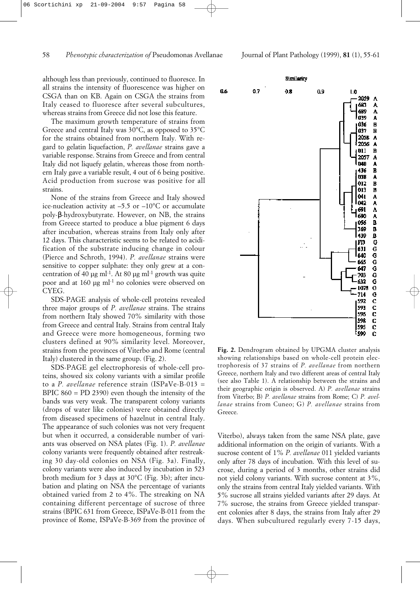06 Scortichini xp 21-09-2004 9:57 Pagina 58

although less than previously, continued to fluoresce. In all strains the intensity of fluorescence was higher on CSGA than on KB. Again on CSGA the strains from Italy ceased to fluoresce after several subcultures, whereas strains from Greece did not lose this feature.

The maximum growth temperature of strains from Greece and central Italy was 30°C, as opposed to 35°C for the strains obtained from northern Italy. With regard to gelatin liquefaction, *P. avellanae* strains gave a variable response. Strains from Greece and from central Italy did not liquefy gelatin, whereas those from northern Italy gave a variable result, 4 out of 6 being positive. Acid production from sucrose was positive for all strains.

None of the strains from Greece and Italy showed ice-nucleation activity at  $-5.5$  or  $-10^{\circ}$ C or accumulate poly-β-hydroxybutyrate. However, on NB, the strains from Greece started to produce a blue pigment 6 days after incubation, whereas strains from Italy only after 12 days. This characteristic seems to be related to acidification of the substrate inducing change in colour (Pierce and Schroth, 1994). *P. avellanae* strains were sensitive to copper sulphate: they only grew at a concentration of 40 µg ml<sup>-1</sup>. At 80 µg ml<sup>-1</sup> growth was quite poor and at 160 µg ml<sup>-1</sup> no colonies were observed on CYEG.

SDS-PAGE analysis of whole-cell proteins revealed three major groups of *P. avellanae* strains. The strains from northern Italy showed 70% similarity with those from Greece and central Italy. Strains from central Italy and Greece were more homogeneous, forming two clusters defined at 90% similarity level. Moreover, strains from the provinces of Viterbo and Rome (central Italy) clustered in the same group. (Fig. 2).

SDS-PAGE gel electrophoresis of whole-cell proteins, showed six colony variants with a similar profile to a *P. avellanae* reference strain (ISPaVe-B-013 = BPIC  $860 =$  PD 2390) even though the intensity of the bands was very weak. The transparent colony variants (drops of water like colonies) were obtained directly from diseased specimens of hazelnut in central Italy. The appearance of such colonies was not very frequent but when it occurred, a considerable number of variants was observed on NSA plates (Fig. 1). *P. avellanae* colony variants were frequently obtained after restreaking 30 day-old colonies on NSA (Fig. 3a). Finally, colony variants were also induced by incubation in 523 broth medium for 3 days at 30°C (Fig. 3b); after incubation and plating on NSA the percentage of variants obtained varied from 2 to 4%. The streaking on NA containing different percentage of sucrose of three strains (BPIC 631 from Greece, ISPaVe-B-011 from the province of Rome, ISPaVe-B-369 from the province of



**Fig. 2.** Dendrogram obtained by UPGMA cluster analysis showing relationships based on whole-cell protein electrophoresis of 37 strains of *P. avellanae* from northern Greece, northern Italy and two different areas of central Italy (see also Table 1). A relationship between the strains and their geographic origin is observed. A) *P. avellanae* strains from Viterbo; B) *P. avellanae* strains from Rome; C) *P. avellanae* strains from Cuneo; G) *P. avellanae* strains from Greece.

Viterbo), always taken from the same NSA plate, gave additional information on the origin of variants. With a sucrose content of 1% *P. avellanae* 011 yielded variants only after 78 days of incubation. With this level of sucrose, during a period of 3 months, other strains did not yield colony variants. With sucrose content at 3%, only the strains from central Italy yielded variants. With 5% sucrose all strains yielded variants after 29 days. At 7% sucrose, the strains from Greece yielded transparent colonies after 8 days, the strains from Italy after 29 days. When subcultured regularly every 7-15 days,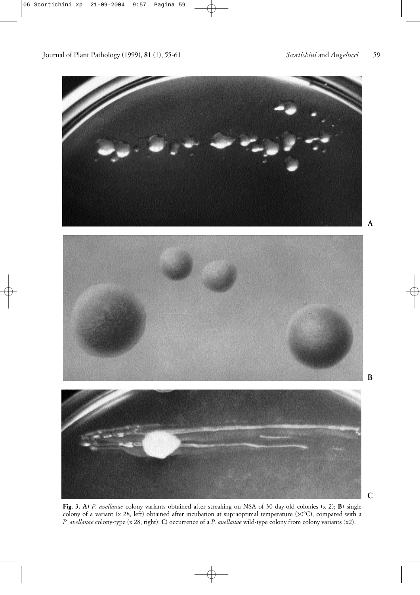Journal of Plant Pathology (1999), **81** (1), 55-61 *Scortichini* and *Angelucci* 59



**Fig. 3. A**) *P. avellanae* colony variants obtained after streaking on NSA of 30 day-old colonies (x 2); **B**) single colony of a variant (x 28, left) obtained after incubation at supraoptimal temperature (30°C), compared with a *P. avellanae* colony-type (x 28, right); **C**) occurrence of a *P. avellanae* wild-type colony from colony variants (x2).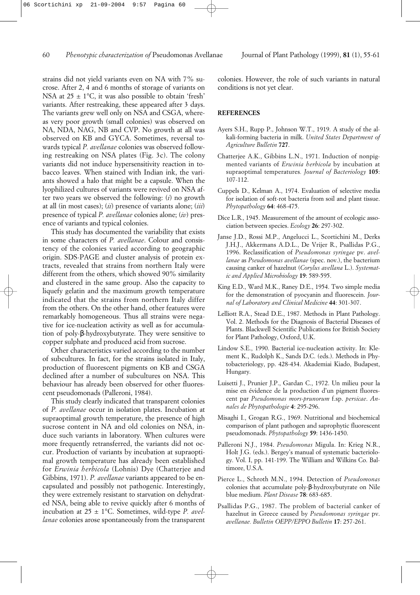strains did not yield variants even on NA with 7% sucrose. After 2, 4 and 6 months of storage of variants on NSA at  $25 \pm 1$ °C, it was also possible to obtain 'fresh' variants. After restreaking, these appeared after 3 days. The variants grew well only on NSA and CSGA, whereas very poor growth (small colonies) was observed on NA, NDA, NAG, NB and CVP. No growth at all was observed on KB and GYCA. Sometimes, reversal towards typical *P. avellanae* colonies was observed following restreaking on NSA plates (Fig. 3c). The colony variants did not induce hypersensitivity reaction in tobacco leaves. When stained with Indian ink, the variants showed a halo that might be a capsule. When the lyophilized cultures of variants were revived on NSA after two years we observed the following: (*i*) no growth at all (in most cases); (*ii*) presence of variants alone; (*iii*) presence of typical *P. avellanae* colonies alone; (*iv*) presence of variants and typical colonies.

This study has documented the variability that exists in some characters of *P. avellanae*. Colour and consistency of the colonies varied according to geographic origin. SDS-PAGE and cluster analysis of protein extracts, revealed that strains from northern Italy were different from the others, which showed 90% similarity and clustered in the same group. Also the capacity to liquefy gelatin and the maximum growth temperature indicated that the strains from northern Italy differ from the others. On the other hand, other features were remarkably homogeneous. Thus all strains were negative for ice-nucleation activity as well as for accumulation of poly-β-hydroxybutyrate. They were sensitive to copper sulphate and produced acid from sucrose.

Other characteristics varied according to the number of subcultures. In fact, for the strains isolated in Italy, production of fluorescent pigments on KB and CSGA declined after a number of subcultures on NSA. This behaviour has already been observed for other fluorescent pseudomonads (Palleroni, 1984).

This study clearly indicated that transparent colonies of *P. avellanae* occur in isolation plates. Incubation at supraoptimal growth temperature, the presence of high sucrose content in NA and old colonies on NSA, induce such variants in laboratory. When cultures were more frequently retransferred, the variants did not occur. Production of variants by incubation at supraoptimal growth temperature has already been established for *Erwinia herbicola* (Lohnis) Dye (Chatterjee and Gibbins, 1971). *P. avellanae* variants appeared to be encapsulated and possibly not pathogenic. Interestingly, they were extremely resistant to starvation on dehydrated NSA, being able to revive quickly after 6 months of incubation at 25 ± 1°C. Sometimes, wild-type *P. avellanae* colonies arose spontaneously from the transparent colonies. However, the role of such variants in natural conditions is not yet clear.

#### **REFERENCES**

- Ayers S.H., Rupp P., Johnson W.T., 1919. A study of the alkali-forming bacteria in milk. *United States Department of Agriculture Bulletin* **727**.
- Chatterjee A.K., Gibbins L.N., 1971. Induction of nonpigmented variants of *Erwinia herbicola* by incubation at supraoptimal temperatures*. Journal of Bacteriology* **105**: 107-112.
- Cuppels D., Kelman A., 1974. Evaluation of selective media for isolation of soft-rot bacteria from soil and plant tissue. *Phytopathology* **64**: 468-475.
- Dice L.R., 1945. Measurement of the amount of ecologic association between species. *Ecology* **26**: 297-302.
- Janse J.D., Rossi M.P., Angelucci L., Scortichini M., Derks J.H.J., Akkermans A.D.L., De Vrijer R., Psallidas P.G., 1996. Reclassification of *Pseudomonas syringae* pv. *avellanae* as *Pseudomonas avellanae* (spec. nov.), the bacterium causing canker of hazelnut (*Corylus avellana* L.). *Systematic and Applied Microbiology* **19**: 589-595.
- King E.D., Ward M.K., Raney D.E., 1954. Two simple media for the demonstration of pyocyanin and fluorescein. *Journal of Laboratory and Clinical Medicine* **44**: 301-307.
- Lelliott R.A., Stead D.E., 1987. Methods in Plant Pathology. Vol. 2. Methods for the Diagnosis of Bacterial Diseases of Plants. Blackwell Scientific Publications for British Society for Plant Pathology, Oxford, U.K.
- Lindow S.E., 1990. Bacterial ice-nucleation activity. In: Klement K., Rudolph K., Sands D.C. (eds.). Methods in Phytobacteriology, pp. 428-434. Akademiai Kiado, Budapest, Hungary.
- Luisetti J., Prunier J.P., Gardan C., 1972. Un milieu pour la mise en évidence de la production d'un pigment fluorescent par *Pseudomonas mors-prunorum* f.sp. *persicae*. *Annales de Phytopathologie* **4**: 295-296.
- Misaghi I., Grogan R.G., 1969. Nutritional and biochemical comparison of plant pathogen and saprophytic fluorescent pseudomonads. *Phytopathology* **59**: 1436-1450.
- Palleroni N.J., 1984. *Pseudomonas* Migula. In: Krieg N.R., Holt J.G. (eds.). Bergey's manual of systematic bacteriology. Vol. I, pp. 141-199. The William and Wilkins Co. Baltimore, U.S.A.
- Pierce L., Schroth M.N., 1994. Detection of *Pseudomonas* colonies that accumulate poly-β-hydroxybutyrate on Nile blue medium. *Plant Disease* **78**: 683-685.
- Psallidas P.G., 1987. The problem of bacterial canker of hazelnut in Greece caused by *Pseudomonas syringae* pv. *avellanae. Bulletin OEPP/EPPO Bulletin* **17**: 257-261.